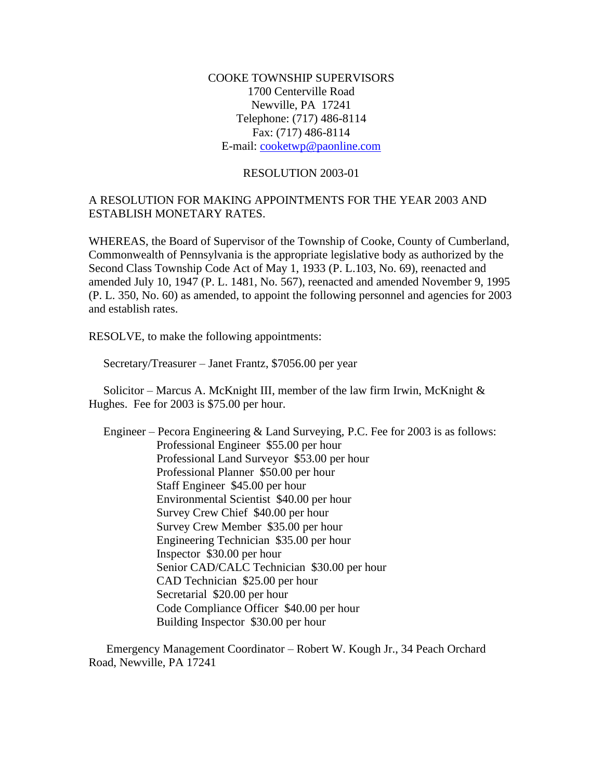COOKE TOWNSHIP SUPERVISORS 1700 Centerville Road Newville, PA 17241 Telephone: (717) 486-8114 Fax: (717) 486-8114 E-mail: [cooketwp@paonline.com](mailto:cooketwp@paonline.com)

## RESOLUTION 2003-01

## A RESOLUTION FOR MAKING APPOINTMENTS FOR THE YEAR 2003 AND ESTABLISH MONETARY RATES.

WHEREAS, the Board of Supervisor of the Township of Cooke, County of Cumberland, Commonwealth of Pennsylvania is the appropriate legislative body as authorized by the Second Class Township Code Act of May 1, 1933 (P. L.103, No. 69), reenacted and amended July 10, 1947 (P. L. 1481, No. 567), reenacted and amended November 9, 1995 (P. L. 350, No. 60) as amended, to appoint the following personnel and agencies for 2003 and establish rates.

RESOLVE, to make the following appointments:

Secretary/Treasurer – Janet Frantz, \$7056.00 per year

 Solicitor – Marcus A. McKnight III, member of the law firm Irwin, McKnight & Hughes. Fee for 2003 is \$75.00 per hour.

 Engineer – Pecora Engineering & Land Surveying, P.C. Fee for 2003 is as follows: Professional Engineer \$55.00 per hour Professional Land Surveyor \$53.00 per hour Professional Planner \$50.00 per hour Staff Engineer \$45.00 per hour Environmental Scientist \$40.00 per hour Survey Crew Chief \$40.00 per hour Survey Crew Member \$35.00 per hour Engineering Technician \$35.00 per hour Inspector \$30.00 per hour Senior CAD/CALC Technician \$30.00 per hour CAD Technician \$25.00 per hour Secretarial \$20.00 per hour Code Compliance Officer \$40.00 per hour Building Inspector \$30.00 per hour

 Emergency Management Coordinator – Robert W. Kough Jr., 34 Peach Orchard Road, Newville, PA 17241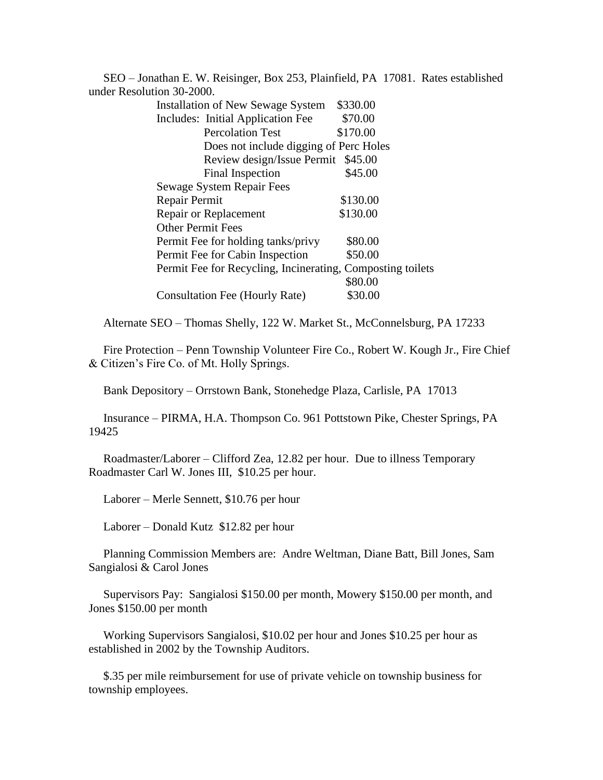SEO – Jonathan E. W. Reisinger, Box 253, Plainfield, PA 17081. Rates established under Resolution 30-2000.

| <b>Installation of New Sewage System</b>                   | \$330.00 |
|------------------------------------------------------------|----------|
| Includes: Initial Application Fee                          | \$70.00  |
| <b>Percolation Test</b>                                    | \$170.00 |
| Does not include digging of Perc Holes                     |          |
| Review design/Issue Permit                                 | \$45.00  |
| Final Inspection                                           | \$45.00  |
| Sewage System Repair Fees                                  |          |
| Repair Permit                                              | \$130.00 |
| Repair or Replacement                                      | \$130.00 |
| <b>Other Permit Fees</b>                                   |          |
| Permit Fee for holding tanks/privy                         | \$80.00  |
| Permit Fee for Cabin Inspection                            | \$50.00  |
| Permit Fee for Recycling, Incinerating, Composting toilets |          |
|                                                            | \$80.00  |
| Consultation Fee (Hourly Rate)                             | \$30.00  |

Alternate SEO – Thomas Shelly, 122 W. Market St., McConnelsburg, PA 17233

 Fire Protection – Penn Township Volunteer Fire Co., Robert W. Kough Jr., Fire Chief & Citizen's Fire Co. of Mt. Holly Springs.

Bank Depository – Orrstown Bank, Stonehedge Plaza, Carlisle, PA 17013

 Insurance – PIRMA, H.A. Thompson Co. 961 Pottstown Pike, Chester Springs, PA 19425

 Roadmaster/Laborer – Clifford Zea, 12.82 per hour. Due to illness Temporary Roadmaster Carl W. Jones III, \$10.25 per hour.

Laborer – Merle Sennett, \$10.76 per hour

Laborer – Donald Kutz \$12.82 per hour

 Planning Commission Members are: Andre Weltman, Diane Batt, Bill Jones, Sam Sangialosi & Carol Jones

 Supervisors Pay: Sangialosi \$150.00 per month, Mowery \$150.00 per month, and Jones \$150.00 per month

 Working Supervisors Sangialosi, \$10.02 per hour and Jones \$10.25 per hour as established in 2002 by the Township Auditors.

 \$.35 per mile reimbursement for use of private vehicle on township business for township employees.